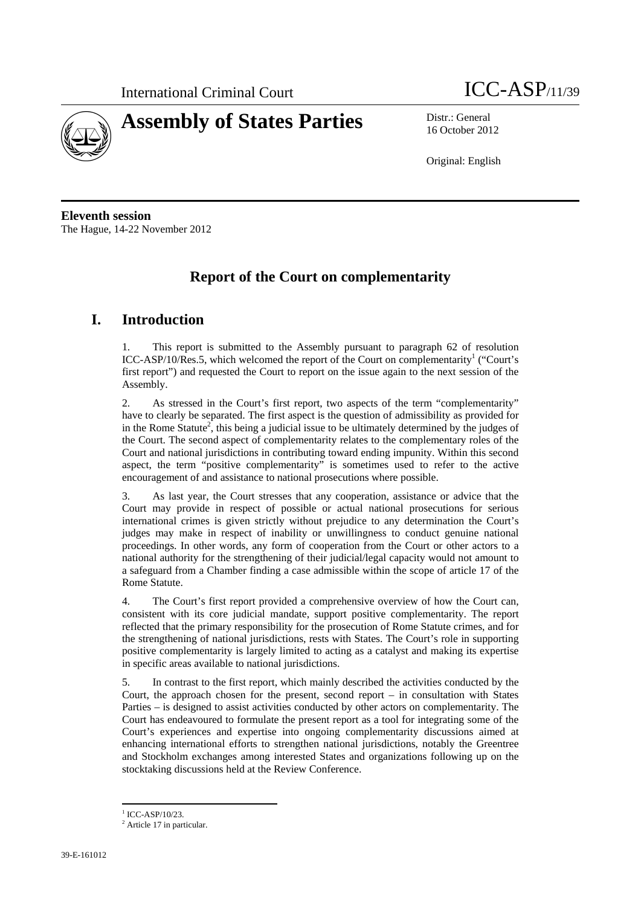



16 October 2012

Original: English

**Eleventh session**  The Hague, 14-22 November 2012

# **Report of the Court on complementarity**

# **I. Introduction**

1. This report is submitted to the Assembly pursuant to paragraph 62 of resolution ICC-ASP/10/Res.5, which welcomed the report of the Court on complementarity<sup>1</sup> ("Court's first report") and requested the Court to report on the issue again to the next session of the Assembly.

2. As stressed in the Court's first report, two aspects of the term "complementarity" have to clearly be separated. The first aspect is the question of admissibility as provided for in the Rome Statute<sup>2</sup>, this being a judicial issue to be ultimately determined by the judges of the Court. The second aspect of complementarity relates to the complementary roles of the Court and national jurisdictions in contributing toward ending impunity. Within this second aspect, the term "positive complementarity" is sometimes used to refer to the active encouragement of and assistance to national prosecutions where possible.

3. As last year, the Court stresses that any cooperation, assistance or advice that the Court may provide in respect of possible or actual national prosecutions for serious international crimes is given strictly without prejudice to any determination the Court's judges may make in respect of inability or unwillingness to conduct genuine national proceedings. In other words, any form of cooperation from the Court or other actors to a national authority for the strengthening of their judicial/legal capacity would not amount to a safeguard from a Chamber finding a case admissible within the scope of article 17 of the Rome Statute.

4. The Court's first report provided a comprehensive overview of how the Court can, consistent with its core judicial mandate, support positive complementarity. The report reflected that the primary responsibility for the prosecution of Rome Statute crimes, and for the strengthening of national jurisdictions, rests with States. The Court's role in supporting positive complementarity is largely limited to acting as a catalyst and making its expertise in specific areas available to national jurisdictions.

5. In contrast to the first report, which mainly described the activities conducted by the Court, the approach chosen for the present, second report  $-$  in consultation with States Parties – is designed to assist activities conducted by other actors on complementarity. The Court has endeavoured to formulate the present report as a tool for integrating some of the Court's experiences and expertise into ongoing complementarity discussions aimed at enhancing international efforts to strengthen national jurisdictions, notably the Greentree and Stockholm exchanges among interested States and organizations following up on the stocktaking discussions held at the Review Conference.

 $1$  ICC-ASP/10/23.

<sup>&</sup>lt;sup>2</sup> Article 17 in particular.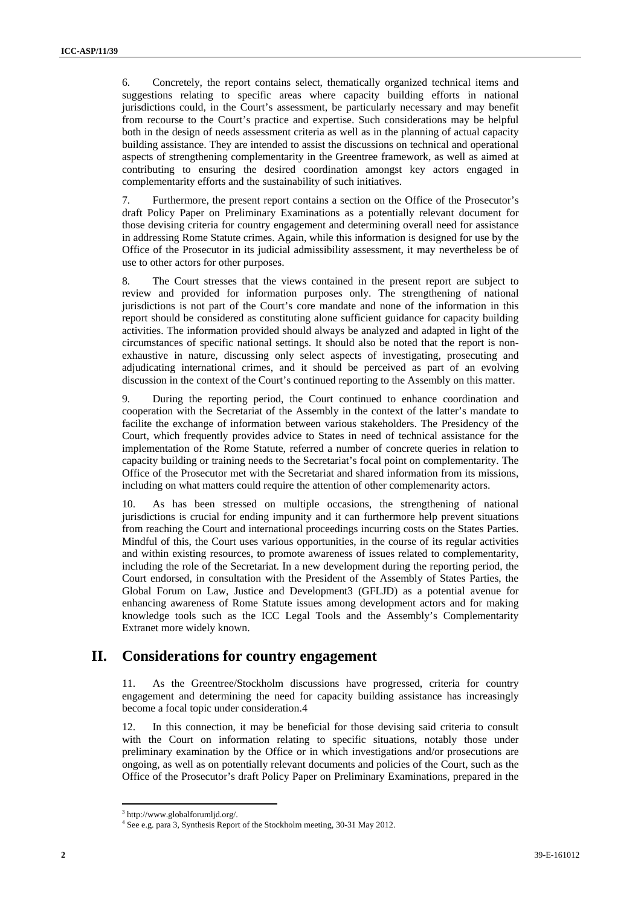6. Concretely, the report contains select, thematically organized technical items and suggestions relating to specific areas where capacity building efforts in national jurisdictions could, in the Court's assessment, be particularly necessary and may benefit from recourse to the Court's practice and expertise. Such considerations may be helpful both in the design of needs assessment criteria as well as in the planning of actual capacity building assistance. They are intended to assist the discussions on technical and operational aspects of strengthening complementarity in the Greentree framework, as well as aimed at contributing to ensuring the desired coordination amongst key actors engaged in complementarity efforts and the sustainability of such initiatives.

7. Furthermore, the present report contains a section on the Office of the Prosecutor's draft Policy Paper on Preliminary Examinations as a potentially relevant document for those devising criteria for country engagement and determining overall need for assistance in addressing Rome Statute crimes. Again, while this information is designed for use by the Office of the Prosecutor in its judicial admissibility assessment, it may nevertheless be of use to other actors for other purposes.

8. The Court stresses that the views contained in the present report are subject to review and provided for information purposes only. The strengthening of national jurisdictions is not part of the Court's core mandate and none of the information in this report should be considered as constituting alone sufficient guidance for capacity building activities. The information provided should always be analyzed and adapted in light of the circumstances of specific national settings. It should also be noted that the report is nonexhaustive in nature, discussing only select aspects of investigating, prosecuting and adjudicating international crimes, and it should be perceived as part of an evolving discussion in the context of the Court's continued reporting to the Assembly on this matter.

9. During the reporting period, the Court continued to enhance coordination and cooperation with the Secretariat of the Assembly in the context of the latter's mandate to facilite the exchange of information between various stakeholders. The Presidency of the Court, which frequently provides advice to States in need of technical assistance for the implementation of the Rome Statute, referred a number of concrete queries in relation to capacity building or training needs to the Secretariat's focal point on complementarity. The Office of the Prosecutor met with the Secretariat and shared information from its missions, including on what matters could require the attention of other complemenarity actors.

10. As has been stressed on multiple occasions, the strengthening of national jurisdictions is crucial for ending impunity and it can furthermore help prevent situations from reaching the Court and international proceedings incurring costs on the States Parties. Mindful of this, the Court uses various opportunities, in the course of its regular activities and within existing resources, to promote awareness of issues related to complementarity, including the role of the Secretariat. In a new development during the reporting period, the Court endorsed, in consultation with the President of the Assembly of States Parties, the Global Forum on Law, Justice and Development3 (GFLJD) as a potential avenue for enhancing awareness of Rome Statute issues among development actors and for making knowledge tools such as the ICC Legal Tools and the Assembly's Complementarity Extranet more widely known.

# **II. Considerations for country engagement**

11. As the Greentree/Stockholm discussions have progressed, criteria for country engagement and determining the need for capacity building assistance has increasingly become a focal topic under consideration.4

12. In this connection, it may be beneficial for those devising said criteria to consult with the Court on information relating to specific situations, notably those under preliminary examination by the Office or in which investigations and/or prosecutions are ongoing, as well as on potentially relevant documents and policies of the Court, such as the Office of the Prosecutor's draft Policy Paper on Preliminary Examinations, prepared in the

<sup>3</sup> http://www.globalforumljd.org/.

<sup>4</sup> See e.g. para 3, Synthesis Report of the Stockholm meeting, 30-31 May 2012.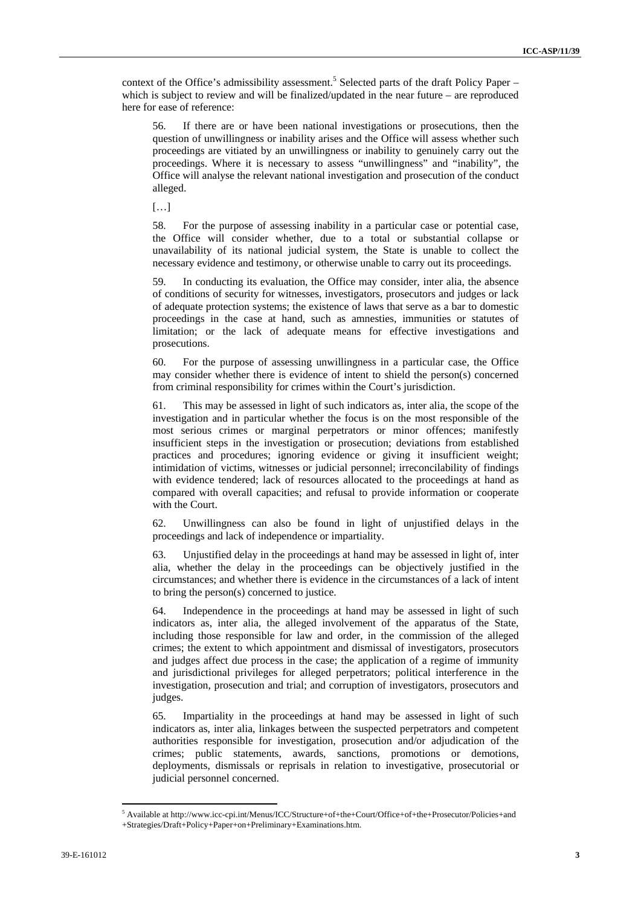context of the Office's admissibility assessment.<sup>5</sup> Selected parts of the draft Policy Paper – which is subject to review and will be finalized/updated in the near future – are reproduced here for ease of reference:

56. If there are or have been national investigations or prosecutions, then the question of unwillingness or inability arises and the Office will assess whether such proceedings are vitiated by an unwillingness or inability to genuinely carry out the proceedings. Where it is necessary to assess "unwillingness" and "inability", the Office will analyse the relevant national investigation and prosecution of the conduct alleged.

[…]

58. For the purpose of assessing inability in a particular case or potential case, the Office will consider whether, due to a total or substantial collapse or unavailability of its national judicial system, the State is unable to collect the necessary evidence and testimony, or otherwise unable to carry out its proceedings.

59. In conducting its evaluation, the Office may consider, inter alia, the absence of conditions of security for witnesses, investigators, prosecutors and judges or lack of adequate protection systems; the existence of laws that serve as a bar to domestic proceedings in the case at hand, such as amnesties, immunities or statutes of limitation; or the lack of adequate means for effective investigations and prosecutions.

60. For the purpose of assessing unwillingness in a particular case, the Office may consider whether there is evidence of intent to shield the person(s) concerned from criminal responsibility for crimes within the Court's jurisdiction.

61. This may be assessed in light of such indicators as, inter alia, the scope of the investigation and in particular whether the focus is on the most responsible of the most serious crimes or marginal perpetrators or minor offences; manifestly insufficient steps in the investigation or prosecution; deviations from established practices and procedures; ignoring evidence or giving it insufficient weight; intimidation of victims, witnesses or judicial personnel; irreconcilability of findings with evidence tendered; lack of resources allocated to the proceedings at hand as compared with overall capacities; and refusal to provide information or cooperate with the Court.

62. Unwillingness can also be found in light of unjustified delays in the proceedings and lack of independence or impartiality.

63. Unjustified delay in the proceedings at hand may be assessed in light of, inter alia, whether the delay in the proceedings can be objectively justified in the circumstances; and whether there is evidence in the circumstances of a lack of intent to bring the person(s) concerned to justice.

64. Independence in the proceedings at hand may be assessed in light of such indicators as, inter alia, the alleged involvement of the apparatus of the State, including those responsible for law and order, in the commission of the alleged crimes; the extent to which appointment and dismissal of investigators, prosecutors and judges affect due process in the case; the application of a regime of immunity and jurisdictional privileges for alleged perpetrators; political interference in the investigation, prosecution and trial; and corruption of investigators, prosecutors and judges.

65. Impartiality in the proceedings at hand may be assessed in light of such indicators as, inter alia, linkages between the suspected perpetrators and competent authorities responsible for investigation, prosecution and/or adjudication of the crimes; public statements, awards, sanctions, promotions or demotions, deployments, dismissals or reprisals in relation to investigative, prosecutorial or judicial personnel concerned.

<sup>5</sup> Available at http://www.icc-cpi.int/Menus/ICC/Structure+of+the+Court/Office+of+the+Prosecutor/Policies+and +Strategies/Draft+Policy+Paper+on+Preliminary+Examinations.htm.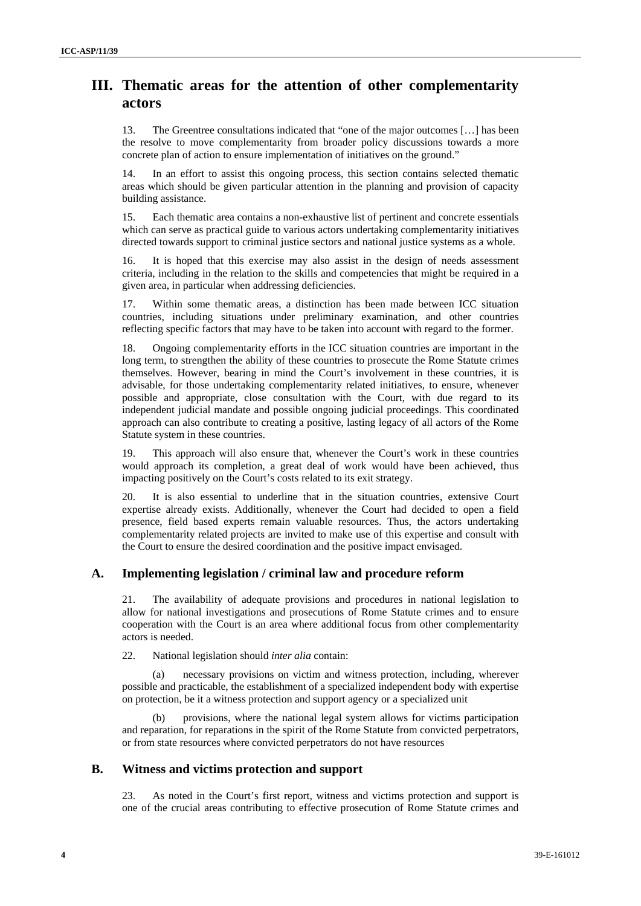# **III. Thematic areas for the attention of other complementarity actors**

13. The Greentree consultations indicated that "one of the major outcomes […] has been the resolve to move complementarity from broader policy discussions towards a more concrete plan of action to ensure implementation of initiatives on the ground."

14. In an effort to assist this ongoing process, this section contains selected thematic areas which should be given particular attention in the planning and provision of capacity building assistance.

15. Each thematic area contains a non-exhaustive list of pertinent and concrete essentials which can serve as practical guide to various actors undertaking complementarity initiatives directed towards support to criminal justice sectors and national justice systems as a whole.

16. It is hoped that this exercise may also assist in the design of needs assessment criteria, including in the relation to the skills and competencies that might be required in a given area, in particular when addressing deficiencies.

17. Within some thematic areas, a distinction has been made between ICC situation countries, including situations under preliminary examination, and other countries reflecting specific factors that may have to be taken into account with regard to the former.

18. Ongoing complementarity efforts in the ICC situation countries are important in the long term, to strengthen the ability of these countries to prosecute the Rome Statute crimes themselves. However, bearing in mind the Court's involvement in these countries, it is advisable, for those undertaking complementarity related initiatives, to ensure, whenever possible and appropriate, close consultation with the Court, with due regard to its independent judicial mandate and possible ongoing judicial proceedings. This coordinated approach can also contribute to creating a positive, lasting legacy of all actors of the Rome Statute system in these countries.

19. This approach will also ensure that, whenever the Court's work in these countries would approach its completion, a great deal of work would have been achieved, thus impacting positively on the Court's costs related to its exit strategy.

20. It is also essential to underline that in the situation countries, extensive Court expertise already exists. Additionally, whenever the Court had decided to open a field presence, field based experts remain valuable resources. Thus, the actors undertaking complementarity related projects are invited to make use of this expertise and consult with the Court to ensure the desired coordination and the positive impact envisaged.

# **A. Implementing legislation / criminal law and procedure reform**

21. The availability of adequate provisions and procedures in national legislation to allow for national investigations and prosecutions of Rome Statute crimes and to ensure cooperation with the Court is an area where additional focus from other complementarity actors is needed.

22. National legislation should *inter alia* contain:

necessary provisions on victim and witness protection, including, wherever possible and practicable, the establishment of a specialized independent body with expertise on protection, be it a witness protection and support agency or a specialized unit

(b) provisions, where the national legal system allows for victims participation and reparation, for reparations in the spirit of the Rome Statute from convicted perpetrators, or from state resources where convicted perpetrators do not have resources

# **B. Witness and victims protection and support**

23. As noted in the Court's first report, witness and victims protection and support is one of the crucial areas contributing to effective prosecution of Rome Statute crimes and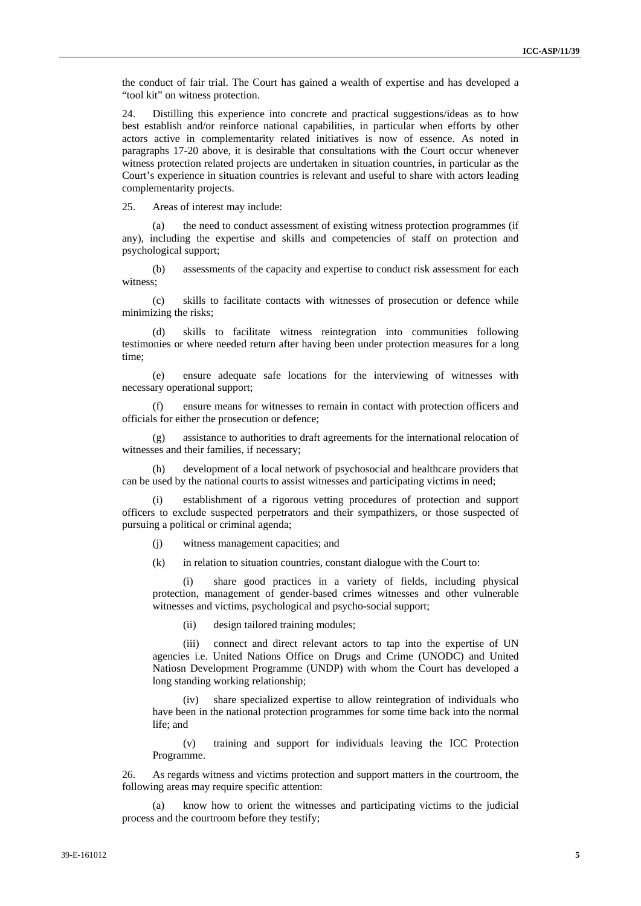the conduct of fair trial. The Court has gained a wealth of expertise and has developed a "tool kit" on witness protection.

24. Distilling this experience into concrete and practical suggestions/ideas as to how best establish and/or reinforce national capabilities, in particular when efforts by other actors active in complementarity related initiatives is now of essence. As noted in paragraphs 17-20 above, it is desirable that consultations with the Court occur whenever witness protection related projects are undertaken in situation countries, in particular as the Court's experience in situation countries is relevant and useful to share with actors leading complementarity projects.

25. Areas of interest may include:

(a) the need to conduct assessment of existing witness protection programmes (if any), including the expertise and skills and competencies of staff on protection and psychological support;

(b) assessments of the capacity and expertise to conduct risk assessment for each witness;

(c) skills to facilitate contacts with witnesses of prosecution or defence while minimizing the risks;

(d) skills to facilitate witness reintegration into communities following testimonies or where needed return after having been under protection measures for a long time;

(e) ensure adequate safe locations for the interviewing of witnesses with necessary operational support;

(f) ensure means for witnesses to remain in contact with protection officers and officials for either the prosecution or defence;

(g) assistance to authorities to draft agreements for the international relocation of witnesses and their families, if necessary;

(h) development of a local network of psychosocial and healthcare providers that can be used by the national courts to assist witnesses and participating victims in need;

establishment of a rigorous vetting procedures of protection and support officers to exclude suspected perpetrators and their sympathizers, or those suspected of pursuing a political or criminal agenda;

(j) witness management capacities; and

(k) in relation to situation countries, constant dialogue with the Court to:

(i) share good practices in a variety of fields, including physical protection, management of gender-based crimes witnesses and other vulnerable witnesses and victims, psychological and psycho-social support;

(ii) design tailored training modules;

(iii) connect and direct relevant actors to tap into the expertise of UN agencies i.e. United Nations Office on Drugs and Crime (UNODC) and United Natiosn Development Programme (UNDP) with whom the Court has developed a long standing working relationship;

share specialized expertise to allow reintegration of individuals who have been in the national protection programmes for some time back into the normal life; and

(v) training and support for individuals leaving the ICC Protection Programme.

26. As regards witness and victims protection and support matters in the courtroom, the following areas may require specific attention:

know how to orient the witnesses and participating victims to the judicial process and the courtroom before they testify;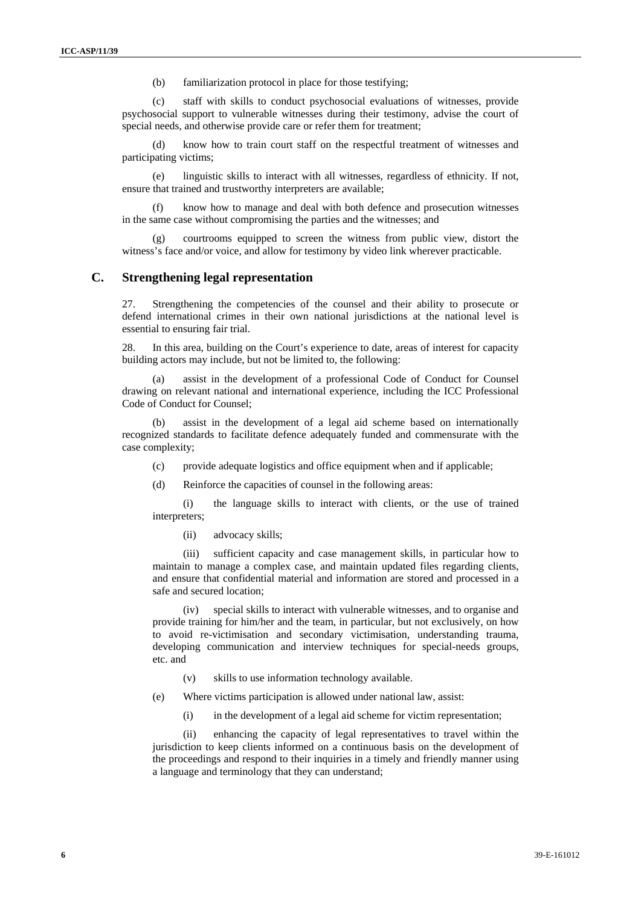(b) familiarization protocol in place for those testifying;

(c) staff with skills to conduct psychosocial evaluations of witnesses, provide psychosocial support to vulnerable witnesses during their testimony, advise the court of special needs, and otherwise provide care or refer them for treatment;

(d) know how to train court staff on the respectful treatment of witnesses and participating victims;

(e) linguistic skills to interact with all witnesses, regardless of ethnicity. If not, ensure that trained and trustworthy interpreters are available;

know how to manage and deal with both defence and prosecution witnesses in the same case without compromising the parties and the witnesses; and

courtrooms equipped to screen the witness from public view, distort the witness's face and/or voice, and allow for testimony by video link wherever practicable.

### **C. Strengthening legal representation**

27. Strengthening the competencies of the counsel and their ability to prosecute or defend international crimes in their own national jurisdictions at the national level is essential to ensuring fair trial.

28. In this area, building on the Court's experience to date, areas of interest for capacity building actors may include, but not be limited to, the following:

assist in the development of a professional Code of Conduct for Counsel drawing on relevant national and international experience, including the ICC Professional Code of Conduct for Counsel;

assist in the development of a legal aid scheme based on internationally recognized standards to facilitate defence adequately funded and commensurate with the case complexity;

(c) provide adequate logistics and office equipment when and if applicable;

(d) Reinforce the capacities of counsel in the following areas:

(i) the language skills to interact with clients, or the use of trained interpreters;

(ii) advocacy skills;

(iii) sufficient capacity and case management skills, in particular how to maintain to manage a complex case, and maintain updated files regarding clients, and ensure that confidential material and information are stored and processed in a safe and secured location;

(iv) special skills to interact with vulnerable witnesses, and to organise and provide training for him/her and the team, in particular, but not exclusively, on how to avoid re-victimisation and secondary victimisation, understanding trauma, developing communication and interview techniques for special-needs groups, etc. and

(v) skills to use information technology available.

(e) Where victims participation is allowed under national law, assist:

(i) in the development of a legal aid scheme for victim representation;

(ii) enhancing the capacity of legal representatives to travel within the jurisdiction to keep clients informed on a continuous basis on the development of the proceedings and respond to their inquiries in a timely and friendly manner using a language and terminology that they can understand;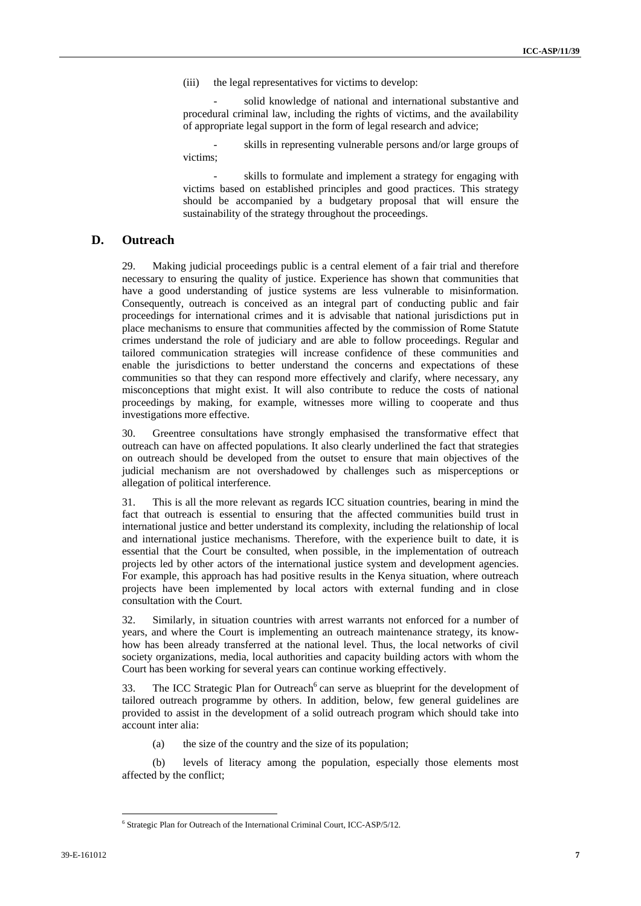(iii) the legal representatives for victims to develop:

solid knowledge of national and international substantive and procedural criminal law, including the rights of victims, and the availability of appropriate legal support in the form of legal research and advice;

skills in representing vulnerable persons and/or large groups of victims;

skills to formulate and implement a strategy for engaging with victims based on established principles and good practices. This strategy should be accompanied by a budgetary proposal that will ensure the sustainability of the strategy throughout the proceedings.

#### **D. Outreach**

29. Making judicial proceedings public is a central element of a fair trial and therefore necessary to ensuring the quality of justice. Experience has shown that communities that have a good understanding of justice systems are less vulnerable to misinformation. Consequently, outreach is conceived as an integral part of conducting public and fair proceedings for international crimes and it is advisable that national jurisdictions put in place mechanisms to ensure that communities affected by the commission of Rome Statute crimes understand the role of judiciary and are able to follow proceedings. Regular and tailored communication strategies will increase confidence of these communities and enable the jurisdictions to better understand the concerns and expectations of these communities so that they can respond more effectively and clarify, where necessary, any misconceptions that might exist. It will also contribute to reduce the costs of national proceedings by making, for example, witnesses more willing to cooperate and thus investigations more effective.

30. Greentree consultations have strongly emphasised the transformative effect that outreach can have on affected populations. It also clearly underlined the fact that strategies on outreach should be developed from the outset to ensure that main objectives of the judicial mechanism are not overshadowed by challenges such as misperceptions or allegation of political interference.

31. This is all the more relevant as regards ICC situation countries, bearing in mind the fact that outreach is essential to ensuring that the affected communities build trust in international justice and better understand its complexity, including the relationship of local and international justice mechanisms. Therefore, with the experience built to date, it is essential that the Court be consulted, when possible, in the implementation of outreach projects led by other actors of the international justice system and development agencies. For example, this approach has had positive results in the Kenya situation, where outreach projects have been implemented by local actors with external funding and in close consultation with the Court.

32. Similarly, in situation countries with arrest warrants not enforced for a number of years, and where the Court is implementing an outreach maintenance strategy, its knowhow has been already transferred at the national level. Thus, the local networks of civil society organizations, media, local authorities and capacity building actors with whom the Court has been working for several years can continue working effectively.

33. The ICC Strategic Plan for Outreach<sup>6</sup> can serve as blueprint for the development of tailored outreach programme by others. In addition, below, few general guidelines are provided to assist in the development of a solid outreach program which should take into account inter alia:

(a) the size of the country and the size of its population;

(b) levels of literacy among the population, especially those elements most affected by the conflict;

<sup>&</sup>lt;sup>6</sup> Strategic Plan for Outreach of the International Criminal Court, ICC-ASP/5/12.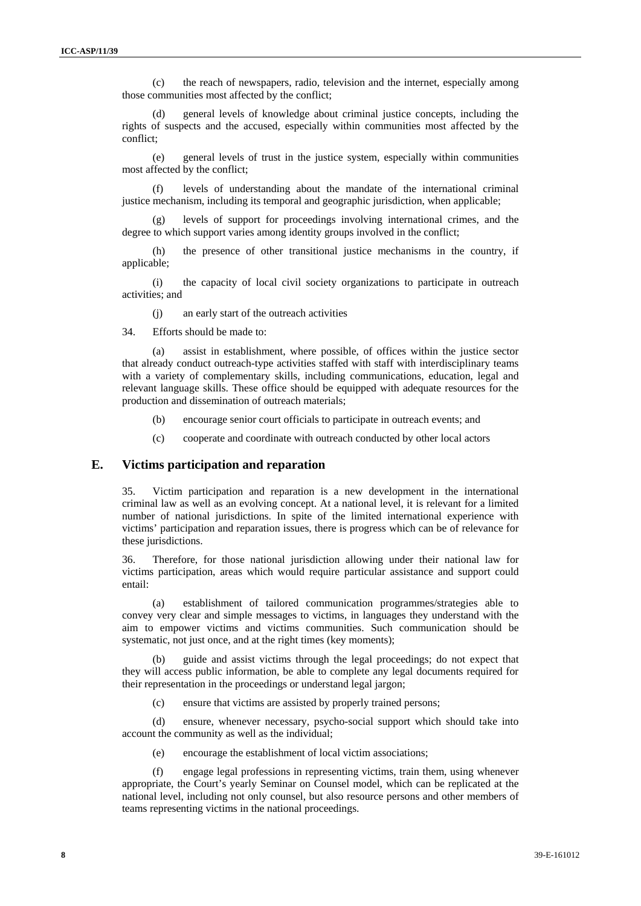(c) the reach of newspapers, radio, television and the internet, especially among those communities most affected by the conflict;

general levels of knowledge about criminal justice concepts, including the rights of suspects and the accused, especially within communities most affected by the conflict;

(e) general levels of trust in the justice system, especially within communities most affected by the conflict;

(f) levels of understanding about the mandate of the international criminal justice mechanism, including its temporal and geographic jurisdiction, when applicable;

(g) levels of support for proceedings involving international crimes, and the degree to which support varies among identity groups involved in the conflict;

(h) the presence of other transitional justice mechanisms in the country, if applicable;

(i) the capacity of local civil society organizations to participate in outreach activities; and

(j) an early start of the outreach activities

34. Efforts should be made to:

(a) assist in establishment, where possible, of offices within the justice sector that already conduct outreach-type activities staffed with staff with interdisciplinary teams with a variety of complementary skills, including communications, education, legal and relevant language skills. These office should be equipped with adequate resources for the production and dissemination of outreach materials;

- (b) encourage senior court officials to participate in outreach events; and
- (c) cooperate and coordinate with outreach conducted by other local actors

### **E. Victims participation and reparation**

35. Victim participation and reparation is a new development in the international criminal law as well as an evolving concept. At a national level, it is relevant for a limited number of national jurisdictions. In spite of the limited international experience with victims' participation and reparation issues, there is progress which can be of relevance for these jurisdictions.

36. Therefore, for those national jurisdiction allowing under their national law for victims participation, areas which would require particular assistance and support could entail:

(a) establishment of tailored communication programmes/strategies able to convey very clear and simple messages to victims, in languages they understand with the aim to empower victims and victims communities. Such communication should be systematic, not just once, and at the right times (key moments);

(b) guide and assist victims through the legal proceedings; do not expect that they will access public information, be able to complete any legal documents required for their representation in the proceedings or understand legal jargon;

(c) ensure that victims are assisted by properly trained persons;

(d) ensure, whenever necessary, psycho-social support which should take into account the community as well as the individual;

(e) encourage the establishment of local victim associations;

(f) engage legal professions in representing victims, train them, using whenever appropriate, the Court's yearly Seminar on Counsel model, which can be replicated at the national level, including not only counsel, but also resource persons and other members of teams representing victims in the national proceedings.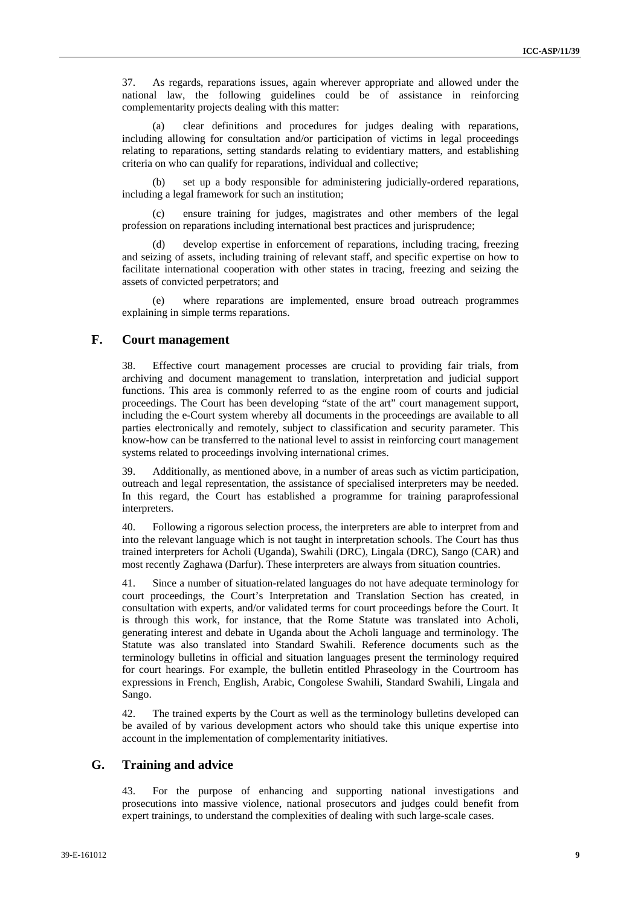37. As regards, reparations issues, again wherever appropriate and allowed under the national law, the following guidelines could be of assistance in reinforcing complementarity projects dealing with this matter:

(a) clear definitions and procedures for judges dealing with reparations, including allowing for consultation and/or participation of victims in legal proceedings relating to reparations, setting standards relating to evidentiary matters, and establishing criteria on who can qualify for reparations, individual and collective;

(b) set up a body responsible for administering judicially-ordered reparations, including a legal framework for such an institution;

(c) ensure training for judges, magistrates and other members of the legal profession on reparations including international best practices and jurisprudence;

(d) develop expertise in enforcement of reparations, including tracing, freezing and seizing of assets, including training of relevant staff, and specific expertise on how to facilitate international cooperation with other states in tracing, freezing and seizing the assets of convicted perpetrators; and

(e) where reparations are implemented, ensure broad outreach programmes explaining in simple terms reparations.

#### **F. Court management**

38. Effective court management processes are crucial to providing fair trials, from archiving and document management to translation, interpretation and judicial support functions. This area is commonly referred to as the engine room of courts and judicial proceedings. The Court has been developing "state of the art" court management support, including the e-Court system whereby all documents in the proceedings are available to all parties electronically and remotely, subject to classification and security parameter. This know-how can be transferred to the national level to assist in reinforcing court management systems related to proceedings involving international crimes.

39. Additionally, as mentioned above, in a number of areas such as victim participation, outreach and legal representation, the assistance of specialised interpreters may be needed. In this regard, the Court has established a programme for training paraprofessional interpreters.

40. Following a rigorous selection process, the interpreters are able to interpret from and into the relevant language which is not taught in interpretation schools. The Court has thus trained interpreters for Acholi (Uganda), Swahili (DRC), Lingala (DRC), Sango (CAR) and most recently Zaghawa (Darfur). These interpreters are always from situation countries.

41. Since a number of situation-related languages do not have adequate terminology for court proceedings, the Court's Interpretation and Translation Section has created, in consultation with experts, and/or validated terms for court proceedings before the Court. It is through this work, for instance, that the Rome Statute was translated into Acholi, generating interest and debate in Uganda about the Acholi language and terminology. The Statute was also translated into Standard Swahili. Reference documents such as the terminology bulletins in official and situation languages present the terminology required for court hearings. For example, the bulletin entitled Phraseology in the Courtroom has expressions in French, English, Arabic, Congolese Swahili, Standard Swahili, Lingala and Sango.

42. The trained experts by the Court as well as the terminology bulletins developed can be availed of by various development actors who should take this unique expertise into account in the implementation of complementarity initiatives.

# **G. Training and advice**

43. For the purpose of enhancing and supporting national investigations and prosecutions into massive violence, national prosecutors and judges could benefit from expert trainings, to understand the complexities of dealing with such large-scale cases.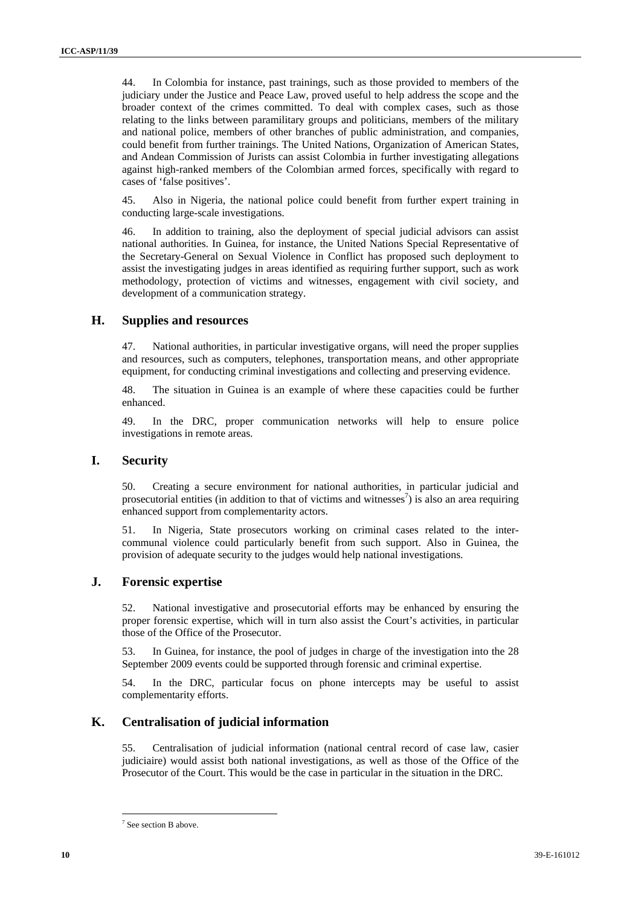44. In Colombia for instance, past trainings, such as those provided to members of the judiciary under the Justice and Peace Law, proved useful to help address the scope and the broader context of the crimes committed. To deal with complex cases, such as those relating to the links between paramilitary groups and politicians, members of the military and national police, members of other branches of public administration, and companies, could benefit from further trainings. The United Nations, Organization of American States, and Andean Commission of Jurists can assist Colombia in further investigating allegations against high-ranked members of the Colombian armed forces, specifically with regard to cases of 'false positives'.

45. Also in Nigeria, the national police could benefit from further expert training in conducting large-scale investigations.

46. In addition to training, also the deployment of special judicial advisors can assist national authorities. In Guinea, for instance, the United Nations Special Representative of the Secretary-General on Sexual Violence in Conflict has proposed such deployment to assist the investigating judges in areas identified as requiring further support, such as work methodology, protection of victims and witnesses, engagement with civil society, and development of a communication strategy.

# **H. Supplies and resources**

47. National authorities, in particular investigative organs, will need the proper supplies and resources, such as computers, telephones, transportation means, and other appropriate equipment, for conducting criminal investigations and collecting and preserving evidence.

48. The situation in Guinea is an example of where these capacities could be further enhanced.

49. In the DRC, proper communication networks will help to ensure police investigations in remote areas.

#### **I. Security**

50. Creating a secure environment for national authorities, in particular judicial and prosecutorial entities (in addition to that of victims and witnesses<sup>7</sup>) is also an area requiring enhanced support from complementarity actors.

51. In Nigeria, State prosecutors working on criminal cases related to the intercommunal violence could particularly benefit from such support. Also in Guinea, the provision of adequate security to the judges would help national investigations.

#### **J. Forensic expertise**

52. National investigative and prosecutorial efforts may be enhanced by ensuring the proper forensic expertise, which will in turn also assist the Court's activities, in particular those of the Office of the Prosecutor.

53. In Guinea, for instance, the pool of judges in charge of the investigation into the 28 September 2009 events could be supported through forensic and criminal expertise.

54. In the DRC, particular focus on phone intercepts may be useful to assist complementarity efforts.

#### **K. Centralisation of judicial information**

55. Centralisation of judicial information (national central record of case law, casier judiciaire) would assist both national investigations, as well as those of the Office of the Prosecutor of the Court. This would be the case in particular in the situation in the DRC.

<sup>&</sup>lt;sup>7</sup> See section B above.